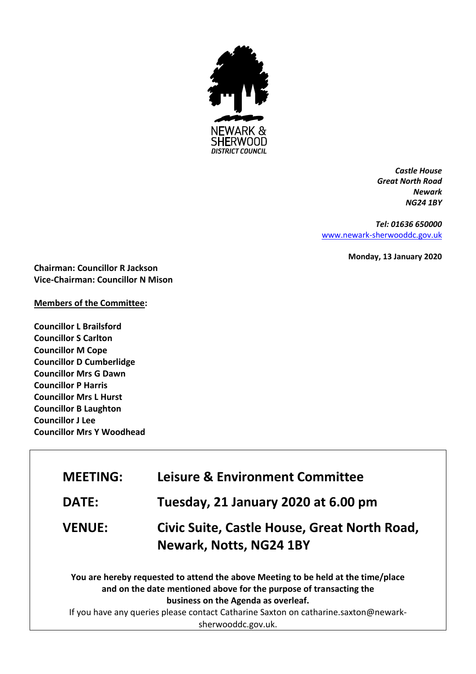

*Castle House Great North Road Newark NG24 1BY*

*Tel: 01636 650000* [www.newark-sherwooddc.gov.uk](http://www.newark-sherwooddc.gov.uk/)

**Monday, 13 January 2020**

**Chairman: Councillor R Jackson Vice-Chairman: Councillor N Mison**

## **Members of the Committee:**

**Councillor L Brailsford Councillor S Carlton Councillor M Cope Councillor D Cumberlidge Councillor Mrs G Dawn Councillor P Harris Councillor Mrs L Hurst Councillor B Laughton Councillor J Lee Councillor Mrs Y Woodhead**

| <b>MEETING:</b> | <b>Leisure &amp; Environment Committee</b>                                                                                                                                                                                                                                                                  |
|-----------------|-------------------------------------------------------------------------------------------------------------------------------------------------------------------------------------------------------------------------------------------------------------------------------------------------------------|
| <b>DATE:</b>    | Tuesday, 21 January 2020 at 6.00 pm                                                                                                                                                                                                                                                                         |
| <b>VENUE:</b>   | Civic Suite, Castle House, Great North Road,<br><b>Newark, Notts, NG24 1BY</b>                                                                                                                                                                                                                              |
|                 | You are hereby requested to attend the above Meeting to be held at the time/place<br>and on the date mentioned above for the purpose of transacting the<br>business on the Agenda as overleaf.<br>If you have any queries please contact Catharine Saxton on catharine.saxton@newark-<br>sherwooddc.gov.uk. |